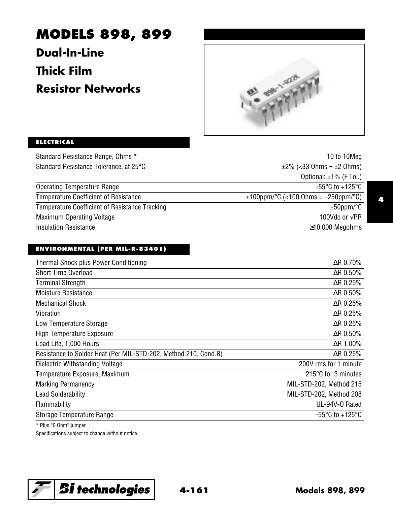# **MODELS 898, 899**

**Dual-In-Line Thick Film Resistor Networks**



# **ELECTRICAL**

| 10 to 10Meg                               |
|-------------------------------------------|
| $\pm 2\%$ (<33 Ohms = $\pm 2$ Ohms)       |
| Optional: $\pm 1\%$ (F Tol.)              |
| $-55^{\circ}$ C to $+125^{\circ}$ C       |
| $±100$ ppm/°C (<100 Ohms = $±250$ ppm/°C) |
| $±50$ ppm/°C                              |
| 100Vdc or $\sqrt{PR}$                     |
| $\geq$ 10,000 Megohms                     |
|                                           |

## **ENVIRONMENTAL (PER MIL-R-83401)**

| Thermal Shock plus Power Conditioning                           | $\Delta$ R 0.70%        |
|-----------------------------------------------------------------|-------------------------|
| Short Time Overload                                             | $\Delta$ R 0.50%        |
| <b>Terminal Strength</b>                                        | $\Delta$ R 0.25%        |
| <b>Moisture Resistance</b>                                      | $\Delta$ R 0.50%        |
| <b>Mechanical Shock</b>                                         | $\Delta$ R 0.25%        |
| Vibration                                                       | $\Delta$ R 0.25%        |
| Low Temperature Storage                                         | $\Delta$ R 0.25%        |
| <b>High Temperature Exposure</b>                                | $\Delta$ R 0.50%        |
| Load Life, 1,000 Hours                                          | $\Delta$ R 1.00%        |
| Resistance to Solder Heat (Per MIL-STD-202, Method 210, Cond.B) | $\Delta$ R 0.25%        |
| Dielectric Withstanding Voltage                                 | 200V rms for 1 minute   |
| Temperature Exposure, Maximum                                   | 215°C for 3 minutes     |
| <b>Marking Permanency</b>                                       | MIL-STD-202, Method 215 |
| <b>Lead Solderability</b>                                       | MIL-STD-202, Method 208 |
| Flammability                                                    | UL-94V-0 Rated          |
| Storage Temperature Range                                       | -55°C to +125°C         |
|                                                                 |                         |

\* Plus "0 Ohm" jumper

Specifications subject to change without notice.

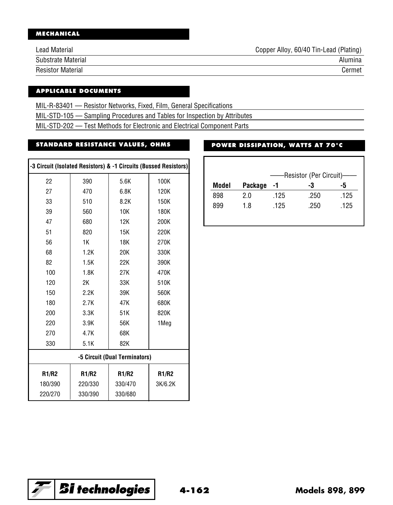# **MECHANICAL**

| Lead Material      | Copper Alloy, 60/40 Tin-Lead (Plating) |
|--------------------|----------------------------------------|
| Substrate Material | Alumina                                |
| Resistor Material  | Cermet                                 |

#### **APPLICABLE DOCUMENTS**

MIL-R-83401 — Resistor Networks, Fixed, Film, General Specifications

MIL-STD-105 — Sampling Procedures and Tables for Inspection by Attributes

MIL-STD-202 — Test Methods for Electronic and Electrical Component Parts

# **STANDARD RESISTANCE VALUES, OHMS**

| -3 Circuit (Isolated Resistors) & -1 Circuits (Bussed Resistors) |              |              |         |  |  |  |
|------------------------------------------------------------------|--------------|--------------|---------|--|--|--|
| 22                                                               | 390          | 5.6K         | 100K    |  |  |  |
| 27                                                               | 470          | 6.8K         | 120K    |  |  |  |
| 33                                                               | 510          | 8.2K         | 150K    |  |  |  |
| 39                                                               | 560          | 10K          | 180K    |  |  |  |
| 47                                                               | 680          | 12K          | 200K    |  |  |  |
| 51                                                               | 820          | 15K          | 220K    |  |  |  |
| 56                                                               | 1K           | 18K          | 270K    |  |  |  |
| 68                                                               | 1.2K         | 20K          | 330K    |  |  |  |
| 82                                                               | 1.5K         | 22K          | 390K    |  |  |  |
| 100                                                              | 1.8K         | 27K          | 470K    |  |  |  |
| 120                                                              | 2K           | 33K          | 510K    |  |  |  |
| 150                                                              | 2.2K         | 39K          | 560K    |  |  |  |
| 180                                                              | 2.7K         | 47K          | 680K    |  |  |  |
| 200                                                              | 3.3K         | 51K          | 820K    |  |  |  |
| 220                                                              | 3.9K         | 56K          | 1Meg    |  |  |  |
| 270                                                              | 4.7K         | 68K          |         |  |  |  |
| 330                                                              | 5.1K         | 82K          |         |  |  |  |
| -5 Circuit (Dual Terminators)                                    |              |              |         |  |  |  |
| <b>R1/R2</b>                                                     | <b>R1/R2</b> | <b>R1/R2</b> | R1/R2   |  |  |  |
| 180/390                                                          | 220/330      | 330/470      | 3K/6.2K |  |  |  |
| 220/270                                                          | 330/390      | 330/680      |         |  |  |  |

# **POWER DISSIPATION, WATTS AT 70°C**

| -Resistor (Per Circuit)— |         |      |      |      |  |
|--------------------------|---------|------|------|------|--|
| Model                    | Package | -1   | -3   | -5   |  |
| 898                      | 2.0     | .125 | .250 | .125 |  |
| 899                      | 1.8     | .125 | .250 | .125 |  |

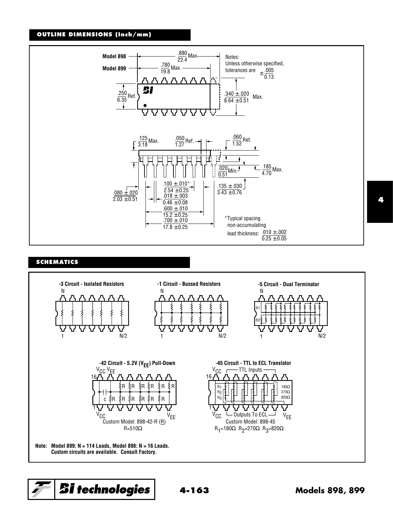#### **OUTLINE DIMENSIONS (Inch/mm)**



#### **SCHEMATICS**



#### **4**

*Bi* technologies